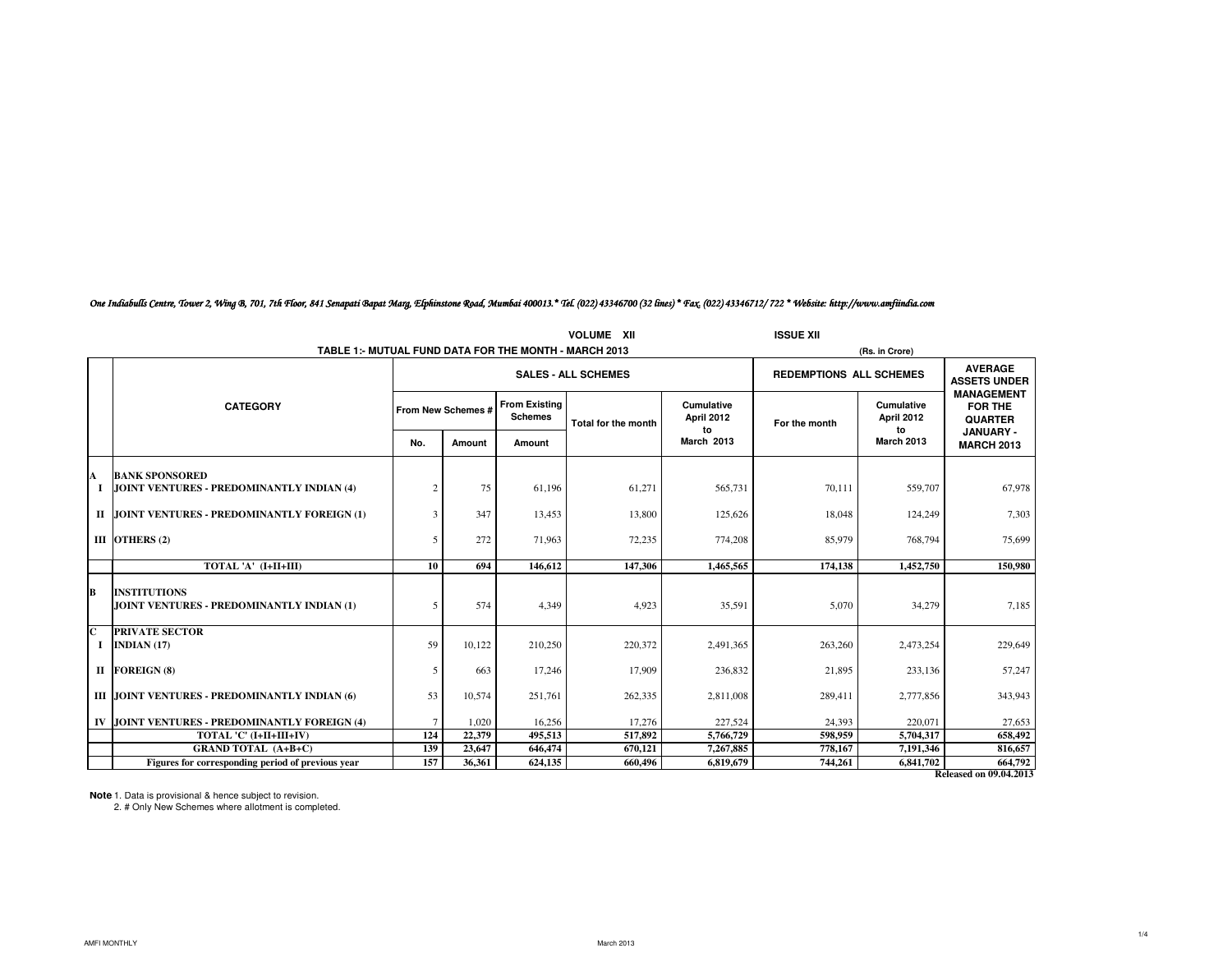|                  |                                                                    |                |                            |                                        | <b>VOLUME XII</b>   |                                | <b>ISSUE XII</b>               |                                |                                                |
|------------------|--------------------------------------------------------------------|----------------|----------------------------|----------------------------------------|---------------------|--------------------------------|--------------------------------|--------------------------------|------------------------------------------------|
|                  | TABLE 1:- MUTUAL FUND DATA FOR THE MONTH - MARCH 2013              |                |                            |                                        |                     |                                |                                | (Rs. in Crore)                 |                                                |
|                  |                                                                    |                | <b>SALES - ALL SCHEMES</b> |                                        |                     |                                | <b>REDEMPTIONS ALL SCHEMES</b> |                                | <b>AVERAGE</b><br><b>ASSETS UNDER</b>          |
|                  | <b>CATEGORY</b>                                                    |                | From New Schemes #         | <b>From Existing</b><br><b>Schemes</b> | Total for the month | Cumulative<br>April 2012<br>to | For the month                  | Cumulative<br>April 2012<br>to | <b>MANAGEMENT</b><br>FOR THE<br><b>QUARTER</b> |
|                  |                                                                    | No.            | Amount                     | Amount                                 |                     | <b>March 2013</b>              |                                | <b>March 2013</b>              | <b>JANUARY-</b><br><b>MARCH 2013</b>           |
|                  |                                                                    |                |                            |                                        |                     |                                |                                |                                |                                                |
| A<br>1           | <b>BANK SPONSORED</b><br>JOINT VENTURES - PREDOMINANTLY INDIAN (4) | $\overline{2}$ | 75                         | 61,196                                 | 61,271              | 565,731                        | 70,111                         | 559,707                        | 67,978                                         |
|                  | II JOINT VENTURES - PREDOMINANTLY FOREIGN (1)                      | 3              | 347                        | 13,453                                 | 13,800              | 125,626                        | 18,048                         | 124,249                        | 7.303                                          |
|                  | III OTHERS (2)                                                     | 5              | 272                        | 71,963                                 | 72,235              | 774,208                        | 85,979                         | 768,794                        | 75,699                                         |
|                  | TOTAL 'A' (I+II+III)                                               | 10             | 694                        | 146,612                                | 147.306             | 1.465.565                      | 174.138                        | 1,452,750                      | 150,980                                        |
| B                | <b>INSTITUTIONS</b><br>JOINT VENTURES - PREDOMINANTLY INDIAN (1)   | 5              | 574                        | 4,349                                  | 4,923               | 35,591                         | 5,070                          | 34,279                         | 7,185                                          |
| $\mathbf C$<br>1 | <b>PRIVATE SECTOR</b><br>INDIAN $(17)$                             | 59             | 10.122                     | 210,250                                | 220,372             | 2.491.365                      | 263,260                        | 2,473,254                      | 229,649                                        |
|                  | II FOREIGN (8)                                                     | 5              | 663                        | 17,246                                 | 17,909              | 236,832                        | 21,895                         | 233,136                        | 57,247                                         |
|                  | III JOINT VENTURES - PREDOMINANTLY INDIAN (6)                      | 53             | 10.574                     | 251,761                                | 262,335             | 2,811,008                      | 289,411                        | 2,777,856                      | 343,943                                        |
|                  | IV JOINT VENTURES - PREDOMINANTLY FOREIGN (4)                      | $\tau$         | 1,020                      | 16,256                                 | 17,276              | 227,524                        | 24,393                         | 220,071                        | 27,653                                         |
|                  | TOTAL 'C' (I+II+III+IV)                                            | 124            | 22,379                     | 495,513                                | 517,892             | 5,766,729                      | 598,959                        | 5,704,317                      | 658,492                                        |
|                  | <b>GRAND TOTAL (A+B+C)</b>                                         | 139            | 23,647                     | 646,474                                | 670,121             | 7,267,885                      | 778,167                        | 7,191,346                      | 816,657                                        |
|                  | Figures for corresponding period of previous year                  | 157            | 36,361                     | 624,135                                | 660,496             | 6,819,679                      | 744,261                        | 6,841,702                      | 664,792                                        |
|                  |                                                                    |                |                            |                                        |                     |                                |                                |                                | <b>Released on 09.04.2013</b>                  |

*One Indiabulls Centre, Tower 2, Wing B, 701, 7th Floor, 841 Senapati Bapat Marg, Elphinstone Road, Mumbai 400013.\* Tel. (022) 43346700 (32 lines) \* Fax. (022) 43346712/ 722 \* Website: http://www.amfiindia.com*

**Note**: 1. Data is provisional & hence subject to revision.<br>2. # Only New Schemes where allotment is completed.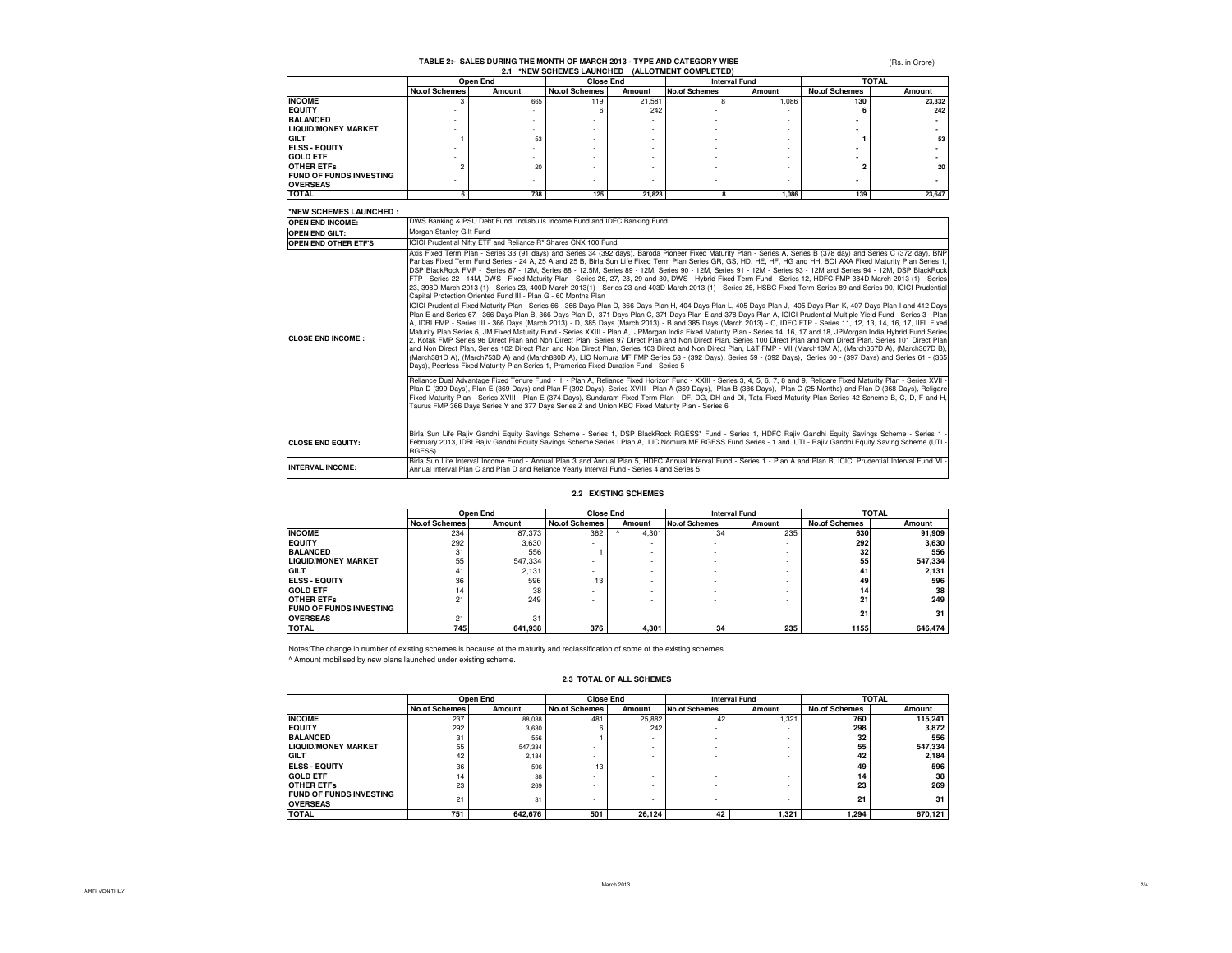# **TABLE 2:- SALES DURING THE MONTH OF MARCH 2013 - TYPE AND CATEGORY WISE**

(Rs. in Crore)

| *NEW SCHEMES LAUNCHED (ALLOTMENT COMPLETED)<br>2.1 |                      |          |                      |        |                      |        |                      |        |
|----------------------------------------------------|----------------------|----------|----------------------|--------|----------------------|--------|----------------------|--------|
|                                                    |                      | Open End | <b>Close End</b>     |        | <b>Interval Fund</b> |        | <b>TOTAL</b>         |        |
|                                                    | <b>No.of Schemes</b> | Amount   | <b>No.of Schemes</b> | Amount | <b>No.of Schemes</b> | Amount | <b>No.of Schemes</b> | Amount |
| <b>INCOME</b>                                      |                      | 665      | 119                  | 21.581 |                      | 1.086  | 130                  | 23.332 |
| <b>IEQUITY</b>                                     |                      |          |                      | 242    |                      |        |                      | 242    |
| <b>BALANCED</b>                                    |                      |          |                      |        |                      |        |                      |        |
| <b>LIQUID/MONEY MARKET</b>                         |                      |          |                      |        |                      |        |                      |        |
| <b>GILT</b>                                        |                      | 53       |                      |        |                      |        |                      | 53     |
| <b>IELSS - EQUITY</b>                              |                      |          |                      |        |                      |        |                      |        |
| <b>GOLD ETF</b>                                    |                      |          |                      |        |                      |        |                      |        |
| <b>OTHER ETFS</b>                                  |                      | 20       |                      |        |                      |        |                      | 20     |
| <b>FUND OF FUNDS INVESTING</b>                     |                      |          |                      |        |                      |        |                      |        |
| <b>OVERSEAS</b>                                    |                      |          |                      |        |                      |        |                      |        |
| <b>TOTAL</b>                                       |                      | 738      | 125                  | 21.823 |                      | 1.086  | 139                  | 23,647 |

### **\*NEW SCHEMES LAUNCHED :**

| NEW SUMEMES LAUNUMED :      |                                                                                                                                                                                                                                                                                                                                                                                                                                                                                                                                                                                                                                                                                                                                                                                                                                                                                                                                                                                                                                                                                                                                                                                                                                                                                                                                                                                                                                                                                                                                                                                                                                                                                                                                                                                                                                                                                                                                                                                                                                                                                                                                                                                                                                                                                                                                                                                                                                                                                                                                                                                                                                                                                                                                                                                                                                                                 |
|-----------------------------|-----------------------------------------------------------------------------------------------------------------------------------------------------------------------------------------------------------------------------------------------------------------------------------------------------------------------------------------------------------------------------------------------------------------------------------------------------------------------------------------------------------------------------------------------------------------------------------------------------------------------------------------------------------------------------------------------------------------------------------------------------------------------------------------------------------------------------------------------------------------------------------------------------------------------------------------------------------------------------------------------------------------------------------------------------------------------------------------------------------------------------------------------------------------------------------------------------------------------------------------------------------------------------------------------------------------------------------------------------------------------------------------------------------------------------------------------------------------------------------------------------------------------------------------------------------------------------------------------------------------------------------------------------------------------------------------------------------------------------------------------------------------------------------------------------------------------------------------------------------------------------------------------------------------------------------------------------------------------------------------------------------------------------------------------------------------------------------------------------------------------------------------------------------------------------------------------------------------------------------------------------------------------------------------------------------------------------------------------------------------------------------------------------------------------------------------------------------------------------------------------------------------------------------------------------------------------------------------------------------------------------------------------------------------------------------------------------------------------------------------------------------------------------------------------------------------------------------------------------------------|
| <b>OPEN END INCOME:</b>     | DWS Banking & PSU Debt Fund, Indiabulls Income Fund and IDFC Banking Fund                                                                                                                                                                                                                                                                                                                                                                                                                                                                                                                                                                                                                                                                                                                                                                                                                                                                                                                                                                                                                                                                                                                                                                                                                                                                                                                                                                                                                                                                                                                                                                                                                                                                                                                                                                                                                                                                                                                                                                                                                                                                                                                                                                                                                                                                                                                                                                                                                                                                                                                                                                                                                                                                                                                                                                                       |
| <b>OPEN END GILT:</b>       | Morgan Stanley Gilt Fund                                                                                                                                                                                                                                                                                                                                                                                                                                                                                                                                                                                                                                                                                                                                                                                                                                                                                                                                                                                                                                                                                                                                                                                                                                                                                                                                                                                                                                                                                                                                                                                                                                                                                                                                                                                                                                                                                                                                                                                                                                                                                                                                                                                                                                                                                                                                                                                                                                                                                                                                                                                                                                                                                                                                                                                                                                        |
| <b>OPEN END OTHER ETF'S</b> | ICICI Prudential Nifty ETF and Reliance R* Shares CNX 100 Fund                                                                                                                                                                                                                                                                                                                                                                                                                                                                                                                                                                                                                                                                                                                                                                                                                                                                                                                                                                                                                                                                                                                                                                                                                                                                                                                                                                                                                                                                                                                                                                                                                                                                                                                                                                                                                                                                                                                                                                                                                                                                                                                                                                                                                                                                                                                                                                                                                                                                                                                                                                                                                                                                                                                                                                                                  |
| <b>CLOSE END INCOME:</b>    | Axis Fixed Term Plan - Series 33 (91 days) and Series 34 (392 days), Baroda Pioneer Fixed Maturity Plan - Series A, Series B (378 day) and Series C (372 day), BNP<br>Paribas Fixed Term Fund Series - 24 A, 25 A and 25 B, Birla Sun Life Fixed Term Plan Series GR, GS, HD, HE, HF, HG and HH, BOI AXA Fixed Maturity Plan Series 1,<br>DSP BlackRock FMP - Series 87 - 12M, Series 88 - 12.5M, Series 89 - 12M, Series 90 - 12M, Series 91 - 12M - Series 93 - 12M and Series 94 - 12M, DSP BlackRock<br>FTP - Series 22 - 14M, DWS - Fixed Maturity Plan - Series 26, 27, 28, 29 and 30, DWS - Hybrid Fixed Term Fund - Series 12, HDFC FMP 384D March 2013 (1) - Series<br>23, 398D March 2013 (1) - Series 23, 400D March 2013(1) - Series 23 and 403D March 2013 (1) - Series 25, HSBC Fixed Term Series 89 and Series 90, ICICI Prudential<br>Capital Protection Oriented Fund III - Plan G - 60 Months Plan<br>ICICI Prudential Fixed Maturity Plan - Series 66 - 366 Days Plan D, 366 Days Plan H, 404 Days Plan L, 405 Days Plan J, 405 Days Plan K, 407 Days Plan I and 412 Days<br>Plan E and Series 67 - 366 Days Plan B, 366 Days Plan D, 371 Days Plan C, 371 Days Plan E and 378 Days Plan A, ICICI Prudential Multiple Yield Fund - Series 3 - Plan<br>A, IDBI FMP - Series III - 366 Days (March 2013) - D, 385 Days (March 2013) - B and 385 Days (March 2013) - C, IDFC FTP - Series 11, 12, 13, 14, 16, 17, IIFL Fixed<br>Maturity Plan Series 6, JM Fixed Maturity Fund - Series XXIII - Plan A, JPMorgan India Fixed Maturity Plan - Series 14, 16, 17 and 18, JPMorgan India Hybrid Fund Series<br>2, Kotak FMP Series 96 Direct Plan and Non Direct Plan, Series 97 Direct Plan and Non Direct Plan, Series 100 Direct Plan and Non Direct Plan, Series 101 Direct Plan<br>and Non Direct Plan, Series 102 Direct Plan and Non Direct Plan, Series 103 Direct and Non Direct Plan, L&T FMP - VII (March13M A), (March367D A), (March367D B),<br>(March381D A), (March753D A) and (March880D A), LIC Nomura MF FMP Series 58 - (392 Days), Series 59 - (392 Days), Series 60 - (397 Days) and Series 61 - (365<br>Days), Peerless Fixed Maturity Plan Series 1, Pramerica Fixed Duration Fund - Series 5<br>Reliance Dual Advantage Fixed Tenure Fund - III - Plan A, Reliance Fixed Horizon Fund - XXIII - Series 3, 4, 5, 6, 7, 8 and 9, Religare Fixed Maturity Plan - Series XVII -<br>Plan D (399 Days), Plan E (369 Days) and Plan F (392 Days), Series XVIII - Plan A (369 Days), Plan B (386 Days), Plan C (25 Months) and Plan D (368 Days), Religare<br>Fixed Maturity Plan - Series XVIII - Plan E (374 Days), Sundaram Fixed Term Plan - DF, DG, DH and DI, Tata Fixed Maturity Plan Series 42 Scheme B, C, D, F and H,<br>Taurus FMP 366 Days Series Y and 377 Days Series Z and Union KBC Fixed Maturity Plan - Series 6 |
| <b>CLOSE END EQUITY:</b>    | Birla Sun Life Rajiv Gandhi Equity Savings Scheme - Series 1, DSP BlackRock RGESS* Fund - Series 1, HDFC Rajiv Gandhi Equity Savings Scheme - Series 1<br>February 2013, IDBI Rajiv Gandhi Equity Savings Scheme Series I Plan A, LIC Nomura MF RGESS Fund Series - 1 and UTI - Rajiv Gandhi Equity Saving Scheme (UTI -<br>RGESS)                                                                                                                                                                                                                                                                                                                                                                                                                                                                                                                                                                                                                                                                                                                                                                                                                                                                                                                                                                                                                                                                                                                                                                                                                                                                                                                                                                                                                                                                                                                                                                                                                                                                                                                                                                                                                                                                                                                                                                                                                                                                                                                                                                                                                                                                                                                                                                                                                                                                                                                              |
| <b>INTERVAL INCOME:</b>     | Birla Sun Life Interval Income Fund - Annual Plan 3 and Annual Plan 5, HDFC Annual Interval Fund - Series 1 - Plan A and Plan B, ICICI Prudential Interval Fund VI -<br>Annual Interval Plan C and Plan D and Reliance Yearly Interval Fund - Series 4 and Series 5                                                                                                                                                                                                                                                                                                                                                                                                                                                                                                                                                                                                                                                                                                                                                                                                                                                                                                                                                                                                                                                                                                                                                                                                                                                                                                                                                                                                                                                                                                                                                                                                                                                                                                                                                                                                                                                                                                                                                                                                                                                                                                                                                                                                                                                                                                                                                                                                                                                                                                                                                                                             |

#### **2.2 EXISTING SCHEMES**

|                                | Open End             |         | <b>Close End</b>     |                 | <b>Interval Fund</b> |                          |                      | <b>TOTAL</b> |  |
|--------------------------------|----------------------|---------|----------------------|-----------------|----------------------|--------------------------|----------------------|--------------|--|
|                                | <b>No.of Schemes</b> | Amount  | <b>No.of Schemes</b> | Amount          | <b>No.of Schemes</b> | Amount                   | <b>No.of Schemes</b> | Amount       |  |
| <b>INCOME</b>                  | 234                  | 87,373  | 362                  | 4,301           | 34                   | 235                      | 630                  | 91,909       |  |
| <b>IEQUITY</b>                 | 292                  | 3.630   |                      |                 |                      | $\overline{\phantom{a}}$ | 292                  | 3,630        |  |
| <b>BALANCED</b>                | 31                   | 556     |                      |                 |                      |                          | 32                   | 556          |  |
| <b>LIQUID/MONEY MARKET</b>     | 55                   | 547.334 |                      |                 |                      |                          | 55                   | 547,334      |  |
| <b>GILT</b>                    | 41                   | 2.131   |                      | <b>Contract</b> |                      | $\overline{\phantom{a}}$ | 41                   | 2,131        |  |
| <b>IELSS - EQUITY</b>          | 36                   | 596     | 13                   |                 |                      | $\overline{\phantom{a}}$ | 49                   | 596          |  |
| <b>GOLD ETF</b>                | 14                   | 38      |                      |                 |                      |                          | 14                   | 38           |  |
| <b>OTHER ETFS</b>              | 21                   | 249     |                      |                 |                      | $\overline{\phantom{a}}$ | 21                   | 249          |  |
| <b>FUND OF FUNDS INVESTING</b> |                      |         |                      |                 |                      |                          | 21                   | 31           |  |
| <b>OVERSEAS</b>                | 21                   | 31      |                      |                 |                      |                          |                      |              |  |
| <b>TOTAL</b>                   | 745                  | 641.938 | 376                  | 4.301           | 34                   | 235                      | 1155                 | 646.474      |  |

Notes:The change in number of existing schemes is because of the maturity and reclassification of some of the existing schemes. ^ Amount mobilised by new plans launched under existing scheme.

### **2.3 TOTAL OF ALL SCHEMES**

|                                                   | Open End             |         | <b>Close End</b>     |        | <b>Interval Fund</b> |        | <b>TOTAL</b>         |         |
|---------------------------------------------------|----------------------|---------|----------------------|--------|----------------------|--------|----------------------|---------|
|                                                   | <b>No.of Schemes</b> | Amount  | <b>No.of Schemes</b> | Amount | <b>No.of Schemes</b> | Amount | <b>No.of Schemes</b> | Amount  |
| <b>INCOME</b>                                     | 237                  | 88.038  | 481                  | 25.882 | 42                   | 1.321  | 760                  | 115.241 |
| <b>IEQUITY</b>                                    | 292                  | 3,630   |                      | 242    | $\sim$               | -      | 298                  | 3,872   |
| <b>BALANCED</b>                                   | 31                   | 556     |                      | -      |                      |        | 32                   | 556     |
| <b>LIQUID/MONEY MARKET</b>                        | 55                   | 547.334 |                      |        |                      |        | 55                   | 547,334 |
| <b>GILT</b>                                       | 42                   | 2.184   |                      |        |                      |        | 42                   | 2.184   |
| <b>ELSS - EQUITY</b>                              | 36                   | 596     | 13                   |        | $\sim$               |        | 49                   | 596     |
| <b>GOLD ETF</b>                                   | 14                   | 38      |                      |        |                      |        | 14                   | 38      |
| <b>OTHER ETFS</b>                                 | 23                   | 269     |                      |        |                      |        | 23                   | 269     |
| <b>FUND OF FUNDS INVESTING</b><br><b>OVERSEAS</b> | 21                   | 31      |                      |        | $\sim$               |        | 21                   | 31      |
| <b>TOTAL</b>                                      | 751                  | 642,676 | 501                  | 26.124 | 42                   | 1,321  | 1.294                | 670.121 |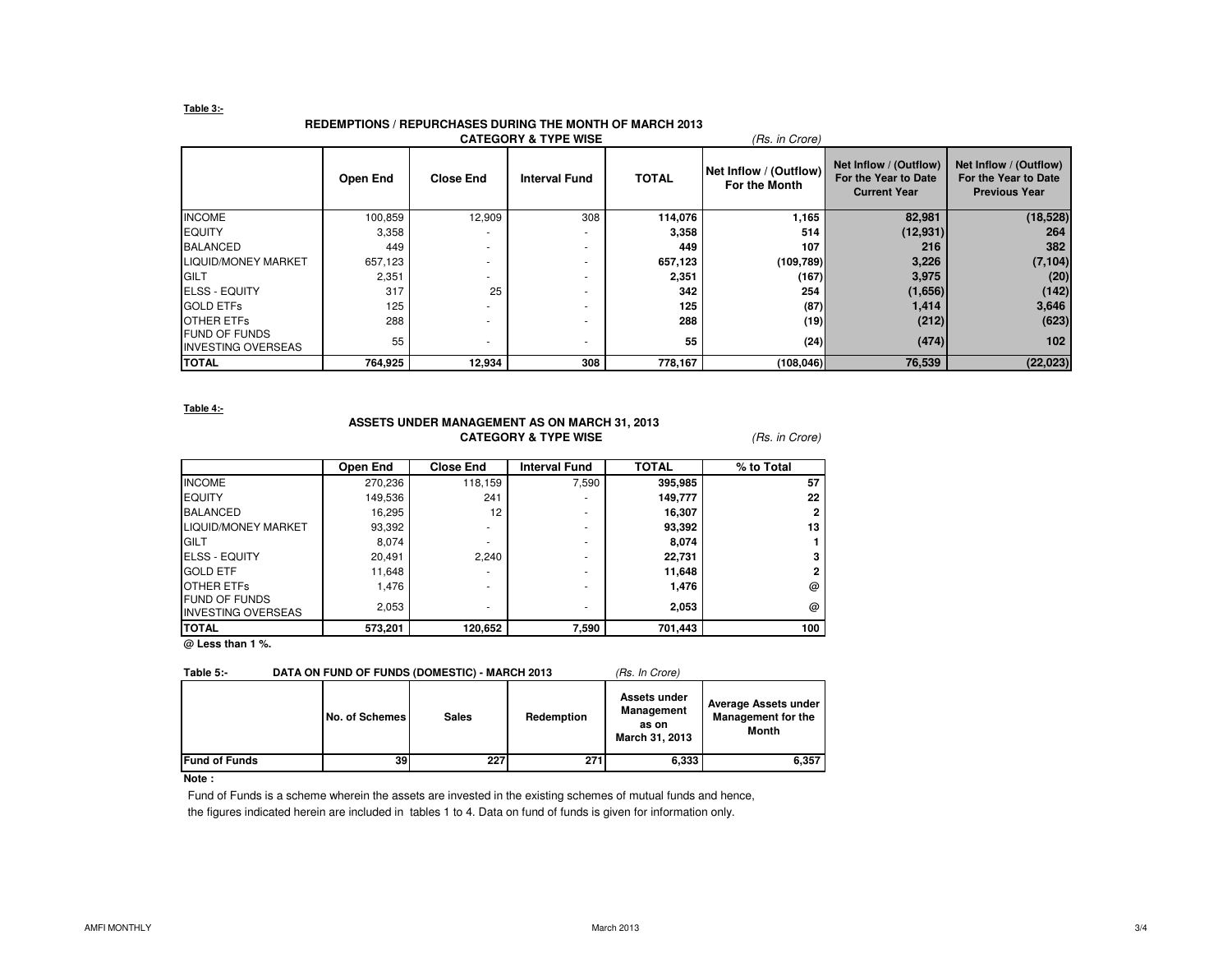### **Table 3:-**

# **REDEMPTIONS / REPURCHASES DURING THE MONTH OF MARCH 2013**

|                                                    |          |                  | <b>CATEGORY &amp; TYPE WISE</b> |              | (Rs. in Crore)                          |                                                                       |                                                                        |
|----------------------------------------------------|----------|------------------|---------------------------------|--------------|-----------------------------------------|-----------------------------------------------------------------------|------------------------------------------------------------------------|
|                                                    | Open End | <b>Close End</b> | <b>Interval Fund</b>            | <b>TOTAL</b> | Net Inflow / (Outflow)<br>For the Month | Net Inflow / (Outflow)<br>For the Year to Date<br><b>Current Year</b> | Net Inflow / (Outflow)<br>For the Year to Date<br><b>Previous Year</b> |
| <b>INCOME</b>                                      | 100,859  | 12,909           | 308                             | 114,076      | 1,165                                   | 82,981                                                                | (18, 528)                                                              |
| <b>EQUITY</b>                                      | 3,358    |                  |                                 | 3,358        | 514                                     | (12, 931)                                                             | 264                                                                    |
| <b>BALANCED</b>                                    | 449      |                  |                                 | 449          | 107                                     | 216                                                                   | 382                                                                    |
| <b>LIQUID/MONEY MARKET</b>                         | 657,123  |                  |                                 | 657,123      | (109, 789)                              | 3,226                                                                 | (7, 104)                                                               |
| <b>GILT</b>                                        | 2,351    |                  |                                 | 2,351        | (167)                                   | 3,975                                                                 | (20)                                                                   |
| <b>ELSS - EQUITY</b>                               | 317      | 25               |                                 | 342          | 254                                     | (1,656)                                                               | (142)                                                                  |
| <b>GOLD ETFs</b>                                   | 125      |                  |                                 | 125          | (87)                                    | 1,414                                                                 | 3,646                                                                  |
| <b>OTHER ETFS</b>                                  | 288      |                  |                                 | 288          | (19)                                    | (212)                                                                 | (623)                                                                  |
| <b>IFUND OF FUNDS</b><br><b>INVESTING OVERSEAS</b> | 55       |                  |                                 | 55           | (24)                                    | (474)                                                                 | 102 <sub>1</sub>                                                       |
| <b>TOTAL</b>                                       | 764,925  | 12,934           | 308                             | 778,167      | (108,046)                               | 76,539                                                                | (22, 023)                                                              |

**Table 4:-**

## **ASSETS UNDER MANAGEMENT AS ON MARCH 31, 2013CATEGORY & TYPE WISE** (*Rs. in Crore*)

|                                                   | Open End | <b>Close End</b> | <b>Interval Fund</b> | <b>TOTAL</b> | % to Total |
|---------------------------------------------------|----------|------------------|----------------------|--------------|------------|
| <b>INCOME</b>                                     | 270,236  | 118,159          | 7,590                | 395,985      | 57         |
| <b>EQUITY</b>                                     | 149,536  | 241              | ۰                    | 149,777      | 22         |
| <b>BALANCED</b>                                   | 16,295   | 12               | ۰                    | 16,307       |            |
| <b>LIQUID/MONEY MARKET</b>                        | 93,392   | ٠                |                      | 93,392       | 13         |
| <b>GILT</b>                                       | 8,074    |                  | ۰                    | 8,074        |            |
| <b>ELSS - EQUITY</b>                              | 20,491   | 2.240            | ۰                    | 22,731       |            |
| <b>GOLD ETF</b>                                   | 11,648   |                  |                      | 11,648       |            |
| <b>OTHER ETFS</b>                                 | 1.476    |                  |                      | 1,476        | @          |
| <b>FUND OF FUNDS</b><br><b>INVESTING OVERSEAS</b> | 2,053    | ۰                |                      | 2,053        | @          |
| <b>TOTAL</b>                                      | 573,201  | 120,652          | 7,590                | 701,443      | 100        |

**@ Less than 1 %.**

### Table 5:- DATA ON FUND OF FUNDS (DOMESTIC) - MARCH 2013 (Rs. In Crore)

|                       | No. of Schemes | <b>Sales</b> | Redemption | Assets under<br><b>Management</b><br>as on<br>March 31, 2013 | Average Assets under<br><b>Management for the</b><br>Month |
|-----------------------|----------------|--------------|------------|--------------------------------------------------------------|------------------------------------------------------------|
| <b>IFund of Funds</b> | 39             | 227          | 271        | 6,333                                                        | 6,357                                                      |

### **Note :**

Fund of Funds is a scheme wherein the assets are invested in the existing schemes of mutual funds and hence,